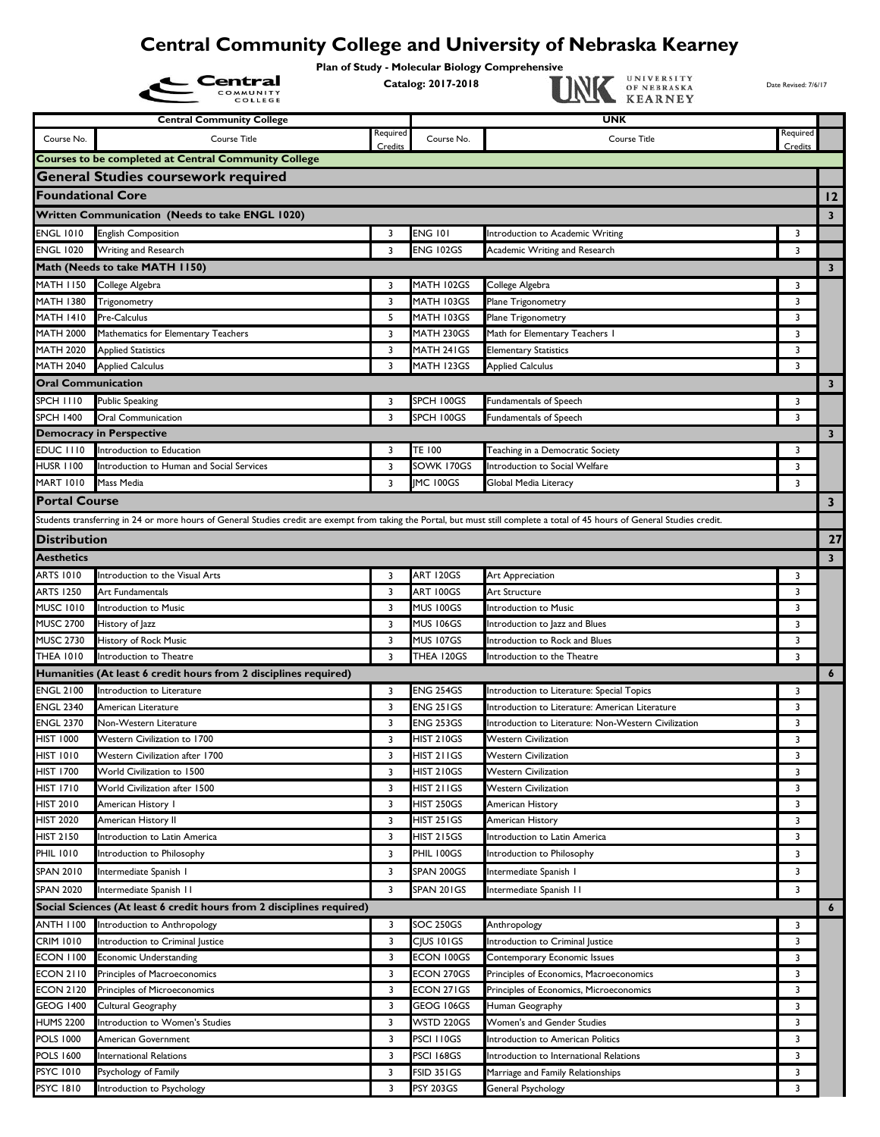## **Central Community College and University of Nebraska Kearney**

Plan of Study - Molecular Biology Comprehensive<br>Catalog: 2017-2018

|                                      | <b>Central Community College</b>                                                                                                                                              |          |                                 | UNK                                                        |                         |                         |
|--------------------------------------|-------------------------------------------------------------------------------------------------------------------------------------------------------------------------------|----------|---------------------------------|------------------------------------------------------------|-------------------------|-------------------------|
|                                      |                                                                                                                                                                               | Required |                                 |                                                            | Required                |                         |
| Course No.                           | Course Title                                                                                                                                                                  | Credits  | Course No.                      | Course Title                                               | Credits                 |                         |
|                                      | <b>Courses to be completed at Central Community College</b>                                                                                                                   |          |                                 |                                                            |                         |                         |
|                                      | <b>General Studies coursework required</b>                                                                                                                                    |          |                                 |                                                            |                         |                         |
| <b>Foundational Core</b>             |                                                                                                                                                                               |          |                                 |                                                            |                         | 12                      |
|                                      | Written Communication (Needs to take ENGL 1020)                                                                                                                               |          |                                 |                                                            |                         | 3                       |
| <b>ENGL 1010</b>                     | <b>English Composition</b>                                                                                                                                                    | 3        | <b>ENG 101</b>                  | Introduction to Academic Writing                           | 3                       |                         |
| <b>ENGL 1020</b>                     | Writing and Research                                                                                                                                                          | 3        | <b>ENG 102GS</b>                | Academic Writing and Research                              | 3                       |                         |
|                                      | Math (Needs to take MATH 1150)                                                                                                                                                |          |                                 |                                                            |                         | $\mathbf{3}$            |
| <b>MATH 1150</b>                     | College Algebra                                                                                                                                                               | 3        | MATH 102GS                      | College Algebra                                            | 3                       |                         |
| <b>MATH 1380</b>                     | Trigonometry                                                                                                                                                                  | 3        | MATH 103GS                      | Plane Trigonometry                                         | 3                       |                         |
| <b>MATH 1410</b>                     | Pre-Calculus                                                                                                                                                                  | 5        | MATH 103GS                      | Plane Trigonometry                                         | 3                       |                         |
| <b>MATH 2000</b>                     | Mathematics for Elementary Teachers                                                                                                                                           | 3        | MATH 230GS                      | Math for Elementary Teachers I                             | 3                       |                         |
| <b>MATH 2020</b>                     | <b>Applied Statistics</b>                                                                                                                                                     | 3        | MATH 241GS                      | <b>Elementary Statistics</b>                               | 3                       |                         |
| <b>MATH 2040</b>                     | <b>Applied Calculus</b>                                                                                                                                                       | 3        | MATH 123GS                      | <b>Applied Calculus</b>                                    | 3                       |                         |
| <b>Oral Communication</b>            |                                                                                                                                                                               |          |                                 |                                                            |                         | 3                       |
| <b>SPCH 1110</b>                     | <b>Public Speaking</b>                                                                                                                                                        | 3        | SPCH 100GS                      | Fundamentals of Speech                                     | 3                       |                         |
| <b>SPCH 1400</b>                     | Oral Communication                                                                                                                                                            | 3        | SPCH 100GS                      | <b>Fundamentals of Speech</b>                              | 3                       |                         |
|                                      | <b>Democracy in Perspective</b>                                                                                                                                               |          |                                 |                                                            |                         | $\overline{\mathbf{3}}$ |
| <b>EDUC 1110</b>                     | Introduction to Education<br>Introduction to Human and Social Services                                                                                                        | 3        | <b>TE 100</b><br>SOWK 170GS     | Teaching in a Democratic Society                           | 3                       |                         |
| <b>HUSR 1100</b><br><b>MART 1010</b> |                                                                                                                                                                               | 3        |                                 | Introduction to Social Welfare                             | 3<br>3                  |                         |
|                                      | Mass Media                                                                                                                                                                    | 3        | <b>IMC 100GS</b>                | Global Media Literacy                                      |                         |                         |
| <b>Portal Course</b>                 |                                                                                                                                                                               |          |                                 |                                                            |                         | 3                       |
|                                      | Students transferring in 24 or more hours of General Studies credit are exempt from taking the Portal, but must still complete a total of 45 hours of General Studies credit. |          |                                 |                                                            |                         |                         |
| <b>Distribution</b>                  |                                                                                                                                                                               |          |                                 |                                                            |                         | 27                      |
| <b>Aesthetics</b>                    |                                                                                                                                                                               |          |                                 |                                                            |                         | $\overline{\mathbf{3}}$ |
| ARTS 1010                            | Introduction to the Visual Arts                                                                                                                                               | 3        | <b>ART 120GS</b>                | Art Appreciation                                           | 3                       |                         |
| <b>ARTS 1250</b>                     | Art Fundamentals                                                                                                                                                              | 3        | ART 100GS                       | Art Structure                                              | 3                       |                         |
| <b>MUSC 1010</b>                     | Introduction to Music                                                                                                                                                         | 3        | <b>MUS 100GS</b>                | Introduction to Music                                      | 3                       |                         |
| <b>MUSC 2700</b>                     | History of Jazz                                                                                                                                                               | 3        | <b>MUS 106GS</b>                | Introduction to Jazz and Blues                             | 3                       |                         |
| <b>MUSC 2730</b>                     | History of Rock Music                                                                                                                                                         | 3        | <b>MUS 107GS</b>                | Introduction to Rock and Blues                             | 3                       |                         |
| <b>THEA 1010</b>                     | Introduction to Theatre                                                                                                                                                       | 3        | THEA 120GS                      | Introduction to the Theatre                                | $\overline{\mathbf{3}}$ |                         |
|                                      | Humanities (At least 6 credit hours from 2 disciplines required)                                                                                                              |          |                                 |                                                            |                         | 6                       |
| <b>ENGL 2100</b>                     | Introduction to Literature                                                                                                                                                    | 3        | <b>ENG 254GS</b>                | Introduction to Literature: Special Topics                 | 3                       |                         |
| <b>ENGL 2340</b>                     | American Literature                                                                                                                                                           | 3        | <b>ENG 251GS</b>                | Introduction to Literature: American Literature            | 3                       |                         |
| <b>ENGL 2370</b>                     | Non-Western Literature                                                                                                                                                        | 3        | <b>ENG 253GS</b>                | Introduction to Literature: Non-Western Civilization       | 3                       |                         |
| <b>HIST 1000</b><br><b>HIST 1010</b> | Western Civilization to 1700<br>Western Civilization after 1700                                                                                                               | 3<br>3   | <b>HIST 210GS</b><br>HIST 211GS | <b>Western Civilization</b>                                | 3<br>3                  |                         |
| <b>HIST 1700</b>                     | World Civilization to 1500                                                                                                                                                    | 3        | <b>HIST 210GS</b>               | <b>Western Civilization</b><br><b>Western Civilization</b> | 3                       |                         |
| <b>HIST 1710</b>                     | World Civilization after 1500                                                                                                                                                 | 3        | <b>HIST 211GS</b>               | <b>Western Civilization</b>                                | 3                       |                         |
| <b>HIST 2010</b>                     | American History I                                                                                                                                                            | 3        | <b>HIST 250GS</b>               | American History                                           | 3                       |                         |
| <b>HIST 2020</b>                     | American History II                                                                                                                                                           | 3        | <b>HIST 251GS</b>               | American History                                           | 3                       |                         |
| HIST 2150                            | Introduction to Latin America                                                                                                                                                 | 3        | <b>HIST 215GS</b>               | Introduction to Latin America                              | 3                       |                         |
| <b>PHIL 1010</b>                     | Introduction to Philosophy                                                                                                                                                    | 3        | PHIL 100GS                      | Introduction to Philosophy                                 | 3                       |                         |
| SPAN 2010                            | Intermediate Spanish I                                                                                                                                                        | 3        | SPAN 200GS                      | Intermediate Spanish I                                     | 3                       |                         |
| <b>SPAN 2020</b>                     | Intermediate Spanish II                                                                                                                                                       | 3        | SPAN 201GS                      | Intermediate Spanish II                                    | 3                       |                         |
|                                      | Social Sciences (At least 6 credit hours from 2 disciplines required)                                                                                                         |          |                                 |                                                            |                         |                         |
| <b>ANTH 1100</b>                     | Introduction to Anthropology                                                                                                                                                  | 3        | SOC 250GS                       | Anthropology                                               | 3                       | 6                       |
| <b>CRIM 1010</b>                     | Introduction to Criminal Justice                                                                                                                                              | 3        | CIUS 101GS                      | Introduction to Criminal Justice                           | 3                       |                         |
| <b>ECON 1100</b>                     | <b>Economic Understanding</b>                                                                                                                                                 | 3        | ECON 100GS                      | Contemporary Economic Issues                               | 3                       |                         |
| <b>ECON 2110</b>                     | Principles of Macroeconomics                                                                                                                                                  | 3        | ECON 270GS                      | Principles of Economics, Macroeconomics                    | 3                       |                         |
| <b>ECON 2120</b>                     | Principles of Microeconomics                                                                                                                                                  | 3        | ECON 271GS                      | Principles of Economics, Microeconomics                    | 3                       |                         |
| <b>GEOG 1400</b>                     | Cultural Geography                                                                                                                                                            | 3        | GEOG 106GS                      | Human Geography                                            | 3                       |                         |
| <b>HUMS 2200</b>                     | Introduction to Women's Studies                                                                                                                                               | 3        | WSTD 220GS                      | Women's and Gender Studies                                 | 3                       |                         |
| <b>POLS 1000</b>                     | American Government                                                                                                                                                           | 3        | PSCI 110GS                      | Introduction to American Politics                          | 3                       |                         |
| <b>POLS 1600</b>                     | <b>International Relations</b>                                                                                                                                                | 3        | <b>PSCI 168GS</b>               | Introduction to International Relations                    | 3                       |                         |
| <b>PSYC 1010</b>                     | Psychology of Family                                                                                                                                                          | 3        | <b>FSID 351GS</b>               | Marriage and Family Relationships                          | 3                       |                         |
| <b>PSYC 1810</b>                     | Introduction to Psychology                                                                                                                                                    | 3        | <b>PSY 203GS</b>                | General Psychology                                         | 3                       |                         |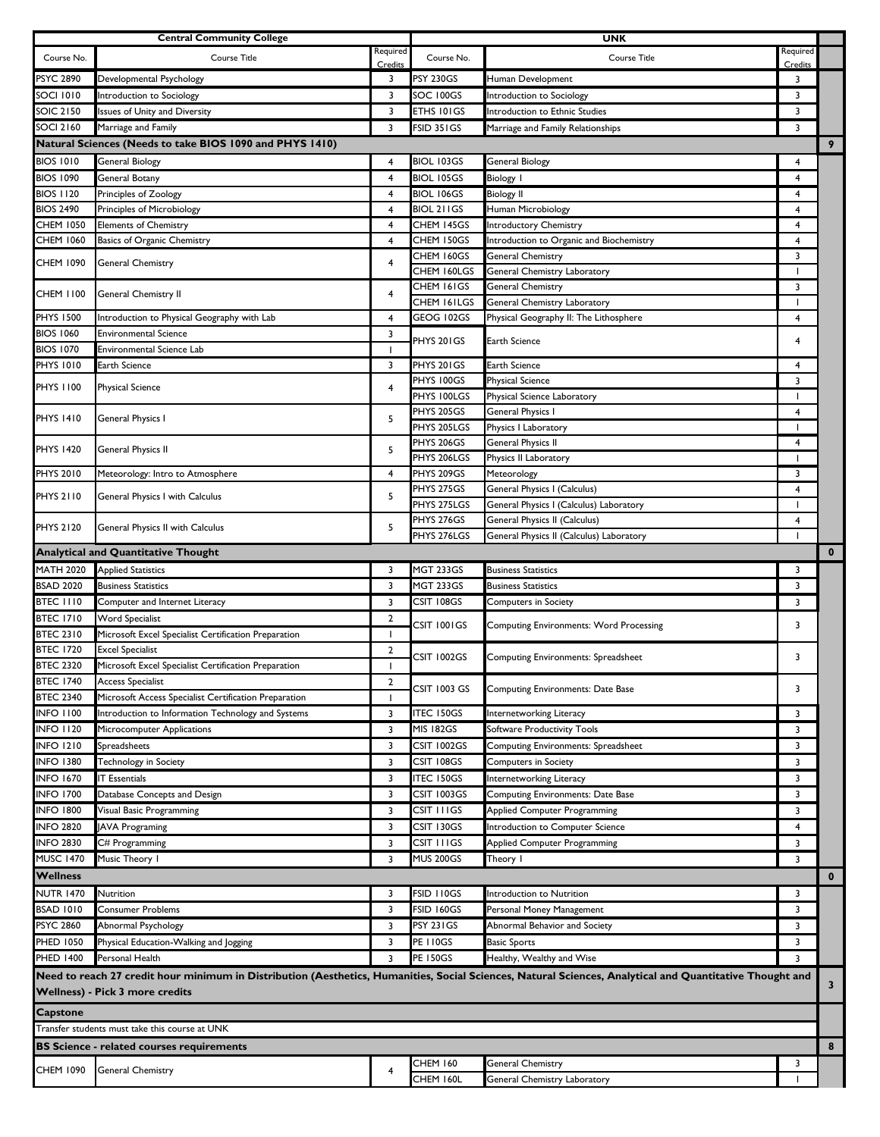|                                                            | <b>Central Community College</b>                                                 |                     |                           | <b>UNK</b>                                                                                                                                               |                          |                         |
|------------------------------------------------------------|----------------------------------------------------------------------------------|---------------------|---------------------------|----------------------------------------------------------------------------------------------------------------------------------------------------------|--------------------------|-------------------------|
| Course No.                                                 | Course Title                                                                     | Required            | Course No.                | <b>Course Title</b>                                                                                                                                      | Required                 |                         |
|                                                            |                                                                                  | Credits             |                           |                                                                                                                                                          | Credits                  |                         |
| <b>PSYC 2890</b>                                           | Developmental Psychology                                                         | 3                   | <b>PSY 230GS</b>          | Human Development                                                                                                                                        | 3                        |                         |
| <b>SOCI 1010</b>                                           | Introduction to Sociology                                                        | 3                   | SOC 100GS                 | Introduction to Sociology                                                                                                                                | 3                        |                         |
| <b>SOIC 2150</b>                                           | Issues of Unity and Diversity                                                    | 3                   | ETHS 101GS                | Introduction to Ethnic Studies                                                                                                                           | 3                        |                         |
| <b>SOCI 2160</b>                                           | Marriage and Family                                                              | 3                   | FSID 351GS                | Marriage and Family Relationships                                                                                                                        | 3                        |                         |
|                                                            | Natural Sciences (Needs to take BIOS 1090 and PHYS 1410)                         |                     |                           |                                                                                                                                                          |                          | 9                       |
| <b>BIOS 1010</b>                                           | General Biology                                                                  | 4                   | <b>BIOL 103GS</b>         | <b>General Biology</b>                                                                                                                                   | 4                        |                         |
| <b>BIOS 1090</b>                                           | General Botany                                                                   | $\overline{4}$      | <b>BIOL 105GS</b>         | <b>Biology I</b>                                                                                                                                         | 4                        |                         |
| <b>BIOS 1120</b>                                           | Principles of Zoology                                                            | 4                   | <b>BIOL 106GS</b>         | <b>Biology II</b>                                                                                                                                        | 4                        |                         |
| <b>BIOS 2490</b>                                           | Principles of Microbiology                                                       | 4                   | BIOL 211GS                | Human Microbiology                                                                                                                                       | 4                        |                         |
| <b>CHEM 1050</b>                                           | <b>Elements of Chemistry</b>                                                     | $\overline{4}$      | CHEM 145GS                | <b>Introductory Chemistry</b>                                                                                                                            | 4                        |                         |
| <b>CHEM 1060</b>                                           | Basics of Organic Chemistry                                                      | $\overline{4}$      | CHEM 150GS                | Introduction to Organic and Biochemistry                                                                                                                 | 4                        |                         |
| CHEM 1090                                                  | <b>General Chemistry</b>                                                         | 4                   | CHEM 160GS                | General Chemistry                                                                                                                                        | 3                        |                         |
|                                                            |                                                                                  |                     | CHEM 160LGS               | General Chemistry Laboratory                                                                                                                             | $\overline{\phantom{a}}$ |                         |
| CHEM 1100                                                  | General Chemistry II                                                             | 4                   | CHEM 161GS                | <b>General Chemistry</b>                                                                                                                                 | 3                        |                         |
|                                                            |                                                                                  |                     | CHEM 161LGS               | General Chemistry Laboratory                                                                                                                             | $\overline{\phantom{a}}$ |                         |
| <b>PHYS 1500</b>                                           | Introduction to Physical Geography with Lab                                      | $\overline{4}$      | GEOG 102GS                | Physical Geography II: The Lithosphere                                                                                                                   | 4                        |                         |
| <b>BIOS 1060</b>                                           | <b>Environmental Science</b>                                                     | 3                   | PHYS 201GS                | Earth Science                                                                                                                                            | 4                        |                         |
| <b>BIOS 1070</b>                                           | <b>Environmental Science Lab</b>                                                 | 1                   |                           |                                                                                                                                                          |                          |                         |
| <b>PHYS 1010</b>                                           | Earth Science                                                                    | 3                   | PHYS 201GS                | Earth Science                                                                                                                                            | $\overline{4}$           |                         |
| <b>PHYS 1100</b>                                           | <b>Physical Science</b>                                                          | 4                   | PHYS 100GS                | <b>Physical Science</b>                                                                                                                                  | 3                        |                         |
|                                                            |                                                                                  |                     | PHYS 100LGS               | Physical Science Laboratory                                                                                                                              |                          |                         |
| <b>PHYS 1410</b>                                           | <b>General Physics I</b>                                                         | 5                   | PHYS 205GS                | General Physics I                                                                                                                                        | $\overline{4}$           |                         |
|                                                            |                                                                                  |                     | PHYS 205LGS               | Physics I Laboratory                                                                                                                                     | $\mathbf{I}$             |                         |
| <b>PHYS 1420</b>                                           | General Physics II                                                               | 5                   | PHYS 206GS<br>PHYS 206LGS | General Physics II                                                                                                                                       | $\overline{4}$           |                         |
| <b>PHYS 2010</b>                                           |                                                                                  |                     | PHYS 209GS                | Physics II Laboratory                                                                                                                                    |                          |                         |
|                                                            | Meteorology: Intro to Atmosphere                                                 | 4                   | PHYS 275GS                | Meteorology                                                                                                                                              | 3<br>4                   |                         |
| PHYS 2110                                                  | General Physics I with Calculus                                                  | 5                   | PHYS 275LGS               | General Physics I (Calculus)<br>General Physics I (Calculus) Laboratory                                                                                  | $\overline{\phantom{a}}$ |                         |
|                                                            |                                                                                  |                     | PHYS 276GS                | General Physics II (Calculus)                                                                                                                            | $\overline{4}$           |                         |
| PHYS 2120                                                  | General Physics II with Calculus                                                 | 5                   | PHYS 276LGS               | General Physics II (Calculus) Laboratory                                                                                                                 | $\overline{\phantom{a}}$ |                         |
|                                                            | <b>Analytical and Quantitative Thought</b>                                       |                     |                           |                                                                                                                                                          |                          | $\mathbf 0$             |
| <b>MATH 2020</b>                                           | <b>Applied Statistics</b>                                                        | 3                   | <b>MGT 233GS</b>          | <b>Business Statistics</b>                                                                                                                               | 3                        |                         |
|                                                            |                                                                                  |                     |                           |                                                                                                                                                          |                          |                         |
| <b>BSAD 2020</b>                                           | <b>Business Statistics</b>                                                       | 3                   | <b>MGT 233GS</b>          | <b>Business Statistics</b>                                                                                                                               | 3                        |                         |
| <b>BTEC 1110</b>                                           | Computer and Internet Literacy                                                   | 3                   | CSIT 108GS                | <b>Computers in Society</b>                                                                                                                              | 3                        |                         |
| <b>BTEC 1710</b><br><b>BTEC 2310</b>                       | Word Specialist                                                                  | 2                   | CSIT 1001GS               | <b>Computing Environments: Word Processing</b>                                                                                                           | 3                        |                         |
|                                                            | Microsoft Excel Specialist Certification Preparation                             | $\mathbf{I}$        |                           |                                                                                                                                                          |                          |                         |
| <b>BTEC 1720</b><br><b>BTEC 2320</b>                       | <b>Excel Specialist</b><br>Microsoft Excel Specialist Certification Preparation  | $\overline{2}$<br>1 | CSIT 1002GS               | Computing Environments: Spreadsheet                                                                                                                      | 3                        |                         |
|                                                            |                                                                                  |                     |                           |                                                                                                                                                          |                          |                         |
| <b>BTEC 1740</b><br><b>BTEC 2340</b>                       | <b>Access Specialist</b>                                                         | 2<br>1              | <b>CSIT 1003 GS</b>       | Computing Environments: Date Base                                                                                                                        | 3                        |                         |
| <b>INFO 1100</b>                                           | Microsoft Access Specialist Certification Preparation                            |                     | <b>ITEC 150GS</b>         | Internetworking Literacy                                                                                                                                 |                          |                         |
| <b>INFO 1120</b>                                           | Introduction to Information Technology and Systems<br>Microcomputer Applications | 3                   | <b>MIS 182GS</b>          | Software Productivity Tools                                                                                                                              | 3<br>3                   |                         |
|                                                            |                                                                                  | 3                   |                           |                                                                                                                                                          |                          |                         |
| <b>INFO 1210</b>                                           | Spreadsheets                                                                     | 3                   | CSIT 1002GS               | Computing Environments: Spreadsheet                                                                                                                      | 3                        |                         |
| <b>INFO 1380</b>                                           | Technology in Society                                                            | 3                   | CSIT 108GS                | <b>Computers in Society</b>                                                                                                                              | 3                        |                         |
| <b>INFO 1670</b>                                           | <b>IT Essentials</b>                                                             | 3                   | <b>ITEC 150GS</b>         | Internetworking Literacy                                                                                                                                 | 3                        |                         |
| <b>INFO 1700</b>                                           | Database Concepts and Design                                                     | 3                   | CSIT 1003GS               | Computing Environments: Date Base                                                                                                                        | 3                        |                         |
| <b>INFO 1800</b>                                           | Visual Basic Programming                                                         | 3                   | CSIT I I I GS             | Applied Computer Programming                                                                                                                             | 3                        |                         |
| <b>INFO 2820</b>                                           | <b>JAVA Programing</b>                                                           | 3                   | CSIT 130GS                | Introduction to Computer Science                                                                                                                         | 4                        |                         |
| <b>INFO 2830</b>                                           | C# Programming                                                                   | 3                   | CSIT I I I GS             | Applied Computer Programming                                                                                                                             | 3                        |                         |
| <b>MUSC 1470</b>                                           | Music Theory I                                                                   | 3                   | <b>MUS 200GS</b>          | Theory I                                                                                                                                                 | 3                        |                         |
| <b>Wellness</b>                                            |                                                                                  |                     |                           |                                                                                                                                                          |                          | $\mathbf 0$             |
| <b>NUTR 1470</b>                                           | Nutrition                                                                        | 3                   | <b>FSID 110GS</b>         | Introduction to Nutrition                                                                                                                                | 3                        |                         |
| <b>BSAD 1010</b>                                           | Consumer Problems                                                                | 3                   | <b>FSID 160GS</b>         | Personal Money Management                                                                                                                                | 3                        |                         |
| <b>PSYC 2860</b>                                           | Abnormal Psychology                                                              | 3                   | <b>PSY 231GS</b>          | Abnormal Behavior and Society                                                                                                                            | 3                        |                         |
| PHED 1050                                                  | Physical Education-Walking and Jogging                                           | 3                   | <b>PE 110GS</b>           | <b>Basic Sports</b>                                                                                                                                      | 3                        |                         |
| PHED 1400                                                  | Personal Health                                                                  | 3                   | <b>PE 150GS</b>           | Healthy, Wealthy and Wise                                                                                                                                | 3                        |                         |
|                                                            |                                                                                  |                     |                           | Need to reach 27 credit hour minimum in Distribution (Aesthetics, Humanities, Social Sciences, Natural Sciences, Analytical and Quantitative Thought and |                          |                         |
|                                                            | Wellness) - Pick 3 more credits                                                  |                     |                           |                                                                                                                                                          |                          | $\overline{\mathbf{3}}$ |
|                                                            |                                                                                  |                     |                           |                                                                                                                                                          |                          |                         |
| Capstone<br>Transfer students must take this course at UNK |                                                                                  |                     |                           |                                                                                                                                                          |                          |                         |
|                                                            |                                                                                  |                     |                           |                                                                                                                                                          |                          |                         |
|                                                            | <b>BS Science - related courses requirements</b>                                 |                     |                           |                                                                                                                                                          |                          | 8                       |
| CHEM 1090                                                  | General Chemistry                                                                | 4                   | <b>CHEM 160</b>           | General Chemistry                                                                                                                                        | 3                        |                         |
|                                                            |                                                                                  |                     | CHEM 160L                 | General Chemistry Laboratory                                                                                                                             |                          |                         |